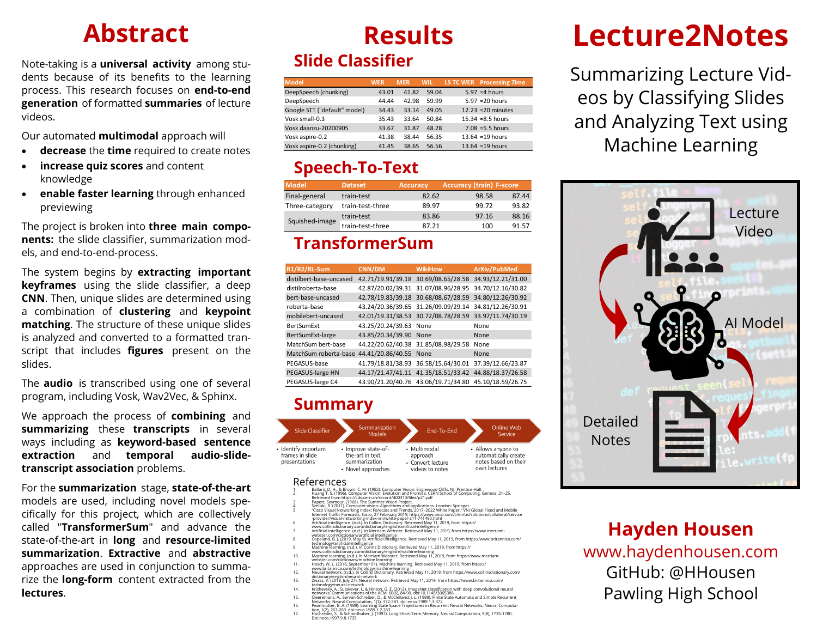## **Abstract**

Note-taking is a **universal activity** among students because of its benefits to the learning process. This research focuses on **end-to-end generation** of formatted **summaries** of lecture videos.

Our automated **multimodal** approach will

- **decrease** the **time** required to create notes
- **increase quiz scores** and content knowledge
- **enable faster learning** through enhanced previewing

The project is broken into **three main components:** the slide classifier, summarization models, and end-to-end-process.

The system begins by **extracting important keyframes** using the slide classifier, a deep **CNN**. Then, unique slides are determined using a combination of **clustering** and **keypoint matching**. The structure of these unique slides is analyzed and converted to a formatted transcript that includes **figures** present on the slides.

The **audio** is transcribed using one of several program, including Vosk, Wav2Vec, & Sphinx.

We approach the process of **combining** and **summarizing** these **transcripts** in several ways including as **keyword-based sentence extraction** and **temporal audio-slidetranscript association** problems.

For the **summarization** stage, **state-of-the-art**  models are used, including novel models specifically for this project, which are collectively called "**TransformerSum**" and advance the state-of-the-art in **long** and **resource-limited summarization**. **Extractive** and **abstractive**  approaches are used in conjunction to summarize the **long-form** content extracted from the **lectures**.

## **Results Slide Classifier**

| <b>Model</b>                 | <b>WER</b> | <b>MER</b> | <b>WIL</b> | <b>LS TC WER</b> Processing Time |
|------------------------------|------------|------------|------------|----------------------------------|
| DeepSpeech (chunking)        | 43.01      | 41.82      | 59.04      | $5.97 \approx 4$ hours           |
| DeepSpeech                   | 44.44      | 42.98      | 59.99      | $5.97 \approx 20$ hours          |
| Google STT ("default" model) | 34.43      | 33.14      | 49.05      | 12.23 $\approx$ 20 minutes       |
| Vosk small-0.3               | 35.43      | 33.64      | 50.84      | $15.34 \approx 8.5$ hours        |
| Vosk daanzu-20200905         | 33.67      | 31.87      | 48.28      | 7.08 $\approx$ 5.5 hours         |
| Vosk aspire-0.2              | 41.38      | 38.44      | 56.35      | 13.64 $\approx$ 19 hours         |
| Vosk aspire-0.2 (chunking)   | 41.45      | 38.65      | 56.56      | 13.64 $\approx$ 19 hours         |

## **Speech-To-Text**

| <b>Model</b>   | <b>Dataset</b>   | <b>Accuracy</b> | <b>Accuracy (train) F-score</b> |       |
|----------------|------------------|-----------------|---------------------------------|-------|
| Final-general  | train-test       | 82.62           | 98.58                           | 87.44 |
| Three-category | train-test-three | 89.97           | 99.72                           | 93.82 |
|                | train-test       | 83.86           | 97.16                           | 88.16 |
| Squished-image | train-test-three | 87.21           | 100                             | 91.57 |

### **TransformerSum**

| R1/R2/RL-Sum                                 | CNN/DM                 | <b>WikiHow</b>                                        | <b>ArXiv/PubMed</b> |
|----------------------------------------------|------------------------|-------------------------------------------------------|---------------------|
| distilbert-base-uncased                      |                        | 42.71/19.91/39.18 30.69/08.65/28.58 34.93/12.21/31.00 |                     |
| distilroberta-base                           |                        | 42.87/20.02/39.31 31.07/08.96/28.95 34.70/12.16/30.82 |                     |
| bert-base-uncased                            |                        | 42.78/19.83/39.18 30.68/08.67/28.59 34.80/12.26/30.92 |                     |
| roberta-base                                 |                        | 43.24/20.36/39.65 31.26/09.09/29.14 34.81/12.26/30.91 |                     |
| mobilebert-uncased                           |                        | 42.01/19.31/38.53 30.72/08.78/28.59 33.97/11.74/30.19 |                     |
| <b>BertSumExt</b>                            | 43.25/20.24/39.63 None |                                                       | None                |
| BertSumExt-large                             | 43.85/20.34/39.90      | None                                                  | <b>None</b>         |
| MatchSum bert-base                           |                        | 44.22/20.62/40.38 31.85/08.98/29.58                   | None                |
| MatchSum roberta-base 44.41/20.86/40.55 None |                        |                                                       | None                |
| PEGASUS-base                                 |                        | 41.79/18.81/38.93 36.58/15.64/30.01 37.39/12.66/23.87 |                     |
| PEGASUS-large HN                             |                        | 44.17/21.47/41.11 41.35/18.51/33.42 44.88/18.37/26.58 |                     |
| PEGASUS-large C4                             |                        | 43.90/21.20/40.76 43.06/19.71/34.80 45.10/18.59/26.75 |                     |

### **Summary**



#### References

- 1. Ballard, D. H., & Brown, C. M. (1982). Computer Vision. Englewood Cliffs, NJ: Prentice-Hall. 2. Huang T. S. (1996). Computer Vision: Evolution and Promise. CERN School of Computing, Geneva: 21–25.
- 
- Retrieved from https://ds.cen.ch/record/400313/files/p21.pdf<br>Papert, Seymour. (1966). The Summer Vision Project.<br>2. Scelesk, R. (2011). Computer vision: Algorithms and applications. London: Springer.<br>5. "Gisco Visual Netwo
- 
- 
- 
- 
- 
- 
- 
- 11. Hosch, W. L. (2016, September 01). Machine learning. Retrieved May 11, 2019, from https://<br>12. Nieural network: Mork Information Pattern High High High High High Machine Information (1980)<br>12. Nieural network: Mork
- 
- technology/neural-network<br>
14. Krizhevský, A., Sutskever, I., & Hinton, G. E. (2012). ImageNet classification with deep convolutional neural<br>
networks: Communications of the ACM, 60(6). 84-90. doi:10.1145/3065386<br>
15. Clee
- 

# **Lecture2Notes**

Summarizing Lecture Videos by Classifying Slides and Analyzing Text using Machine Learning



**Hayden Housen** www.haydenhousen.com GitHub: @HHousen Pawling High School